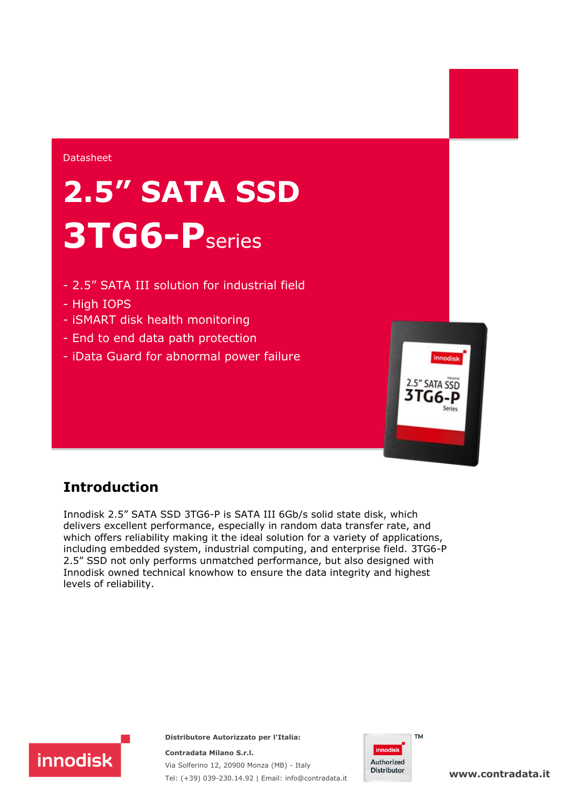#### Datasheet

# **2.5" SATA SSD 3TG6-P**series

- 2.5" SATA III solution for industrial field
- High IOPS
- iSMART disk health monitoring
- End to end data path protection
- iData Guard for abnormal power failure



### **Introduction**

Innodisk 2.5" SATA SSD 3TG6-P is SATA III 6Gb/s solid state disk, which delivers excellent performance, especially in random data transfer rate, and which offers reliability making it the ideal solution for a variety of applications, including embedded system, industrial computing, and enterprise field. 3TG6-P 2.5" SSD not only performs unmatched performance, but also designed with Innodisk owned technical knowhow to ensure the data integrity and highest levels of reliability.



**Distributore Autorizzato per l'Italia:** 

**Contradata Milano S.r.l.** Via Solferino 12, 20900 Monza (MB) - Italy Tel: (+39) 039-230.14.92 | Email: info@contradata.it



**www.contradata.it**